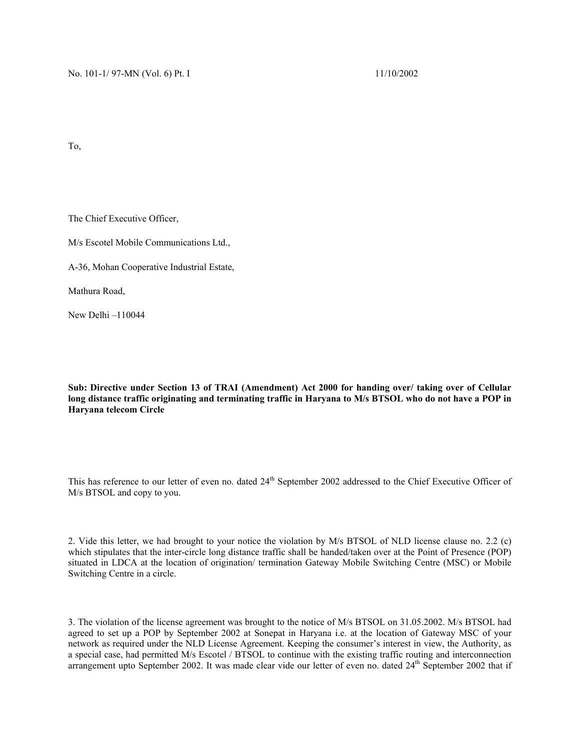To,

The Chief Executive Officer,

M/s Escotel Mobile Communications Ltd.,

A-36, Mohan Cooperative Industrial Estate,

Mathura Road,

New Delhi –110044

**Sub: Directive under Section 13 of TRAI (Amendment) Act 2000 for handing over/ taking over of Cellular long distance traffic originating and terminating traffic in Haryana to M/s BTSOL who do not have a POP in Haryana telecom Circle**

This has reference to our letter of even no. dated 24<sup>th</sup> September 2002 addressed to the Chief Executive Officer of M/s BTSOL and copy to you.

2. Vide this letter, we had brought to your notice the violation by M/s BTSOL of NLD license clause no. 2.2 (c) which stipulates that the inter-circle long distance traffic shall be handed/taken over at the Point of Presence (POP) situated in LDCA at the location of origination/ termination Gateway Mobile Switching Centre (MSC) or Mobile Switching Centre in a circle.

3. The violation of the license agreement was brought to the notice of M/s BTSOL on 31.05.2002. M/s BTSOL had agreed to set up a POP by September 2002 at Sonepat in Haryana i.e. at the location of Gateway MSC of your network as required under the NLD License Agreement. Keeping the consumer's interest in view, the Authority, as a special case, had permitted M/s Escotel / BTSOL to continue with the existing traffic routing and interconnection arrangement upto September 2002. It was made clear vide our letter of even no. dated 24<sup>th</sup> September 2002 that if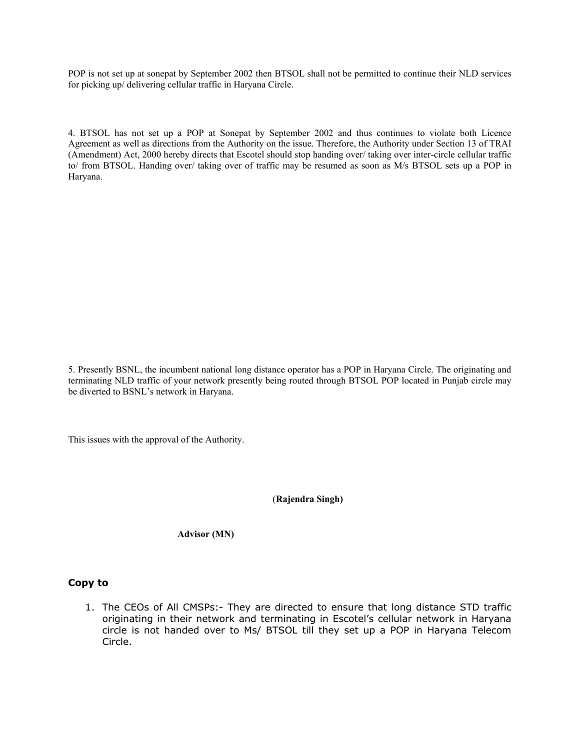POP is not set up at sonepat by September 2002 then BTSOL shall not be permitted to continue their NLD services for picking up/ delivering cellular traffic in Haryana Circle.

4. BTSOL has not set up a POP at Sonepat by September 2002 and thus continues to violate both Licence Agreement as well as directions from the Authority on the issue. Therefore, the Authority under Section 13 of TRAI (Amendment) Act, 2000 hereby directs that Escotel should stop handing over/ taking over inter-circle cellular traffic to/ from BTSOL. Handing over/ taking over of traffic may be resumed as soon as M/s BTSOL sets up a POP in Haryana.

5. Presently BSNL, the incumbent national long distance operator has a POP in Haryana Circle. The originating and terminating NLD traffic of your network presently being routed through BTSOL POP located in Punjab circle may be diverted to BSNL's network in Haryana.

This issues with the approval of the Authority.

(**Rajendra Singh)** 

 **Advisor (MN)** 

## **Copy to**

1. The CEOs of All CMSPs:- They are directed to ensure that long distance STD traffic originating in their network and terminating in Escotel's cellular network in Haryana circle is not handed over to Ms/ BTSOL till they set up a POP in Haryana Telecom Circle.